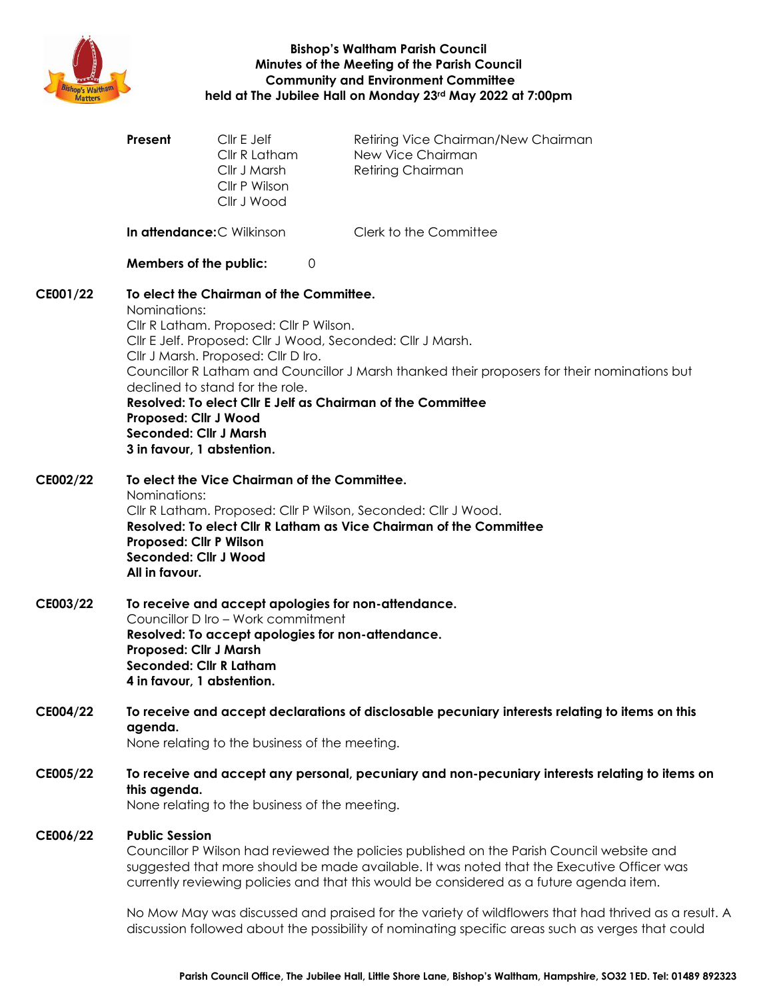

**Bishop's Waltham Parish Council Minutes of the Meeting of the Parish Council Community and Environment Committee held at The Jubilee Hall on Monday 23rd May 2022 at 7:00pm**

|          | Present                                                                                                                                                                                                                                                                                                                                                                                                                                                                                            | Cllr E Jelf<br>Cllr R Latham<br>Cllr J Marsh<br>Cllr P Wilson<br>Cllr J Wood | Retiring Vice Chairman/New Chairman<br>New Vice Chairman<br><b>Retiring Chairman</b>                                                                                                                    |
|----------|----------------------------------------------------------------------------------------------------------------------------------------------------------------------------------------------------------------------------------------------------------------------------------------------------------------------------------------------------------------------------------------------------------------------------------------------------------------------------------------------------|------------------------------------------------------------------------------|---------------------------------------------------------------------------------------------------------------------------------------------------------------------------------------------------------|
|          |                                                                                                                                                                                                                                                                                                                                                                                                                                                                                                    | <b>In attendance: C Wilkinson</b>                                            | Clerk to the Committee                                                                                                                                                                                  |
|          |                                                                                                                                                                                                                                                                                                                                                                                                                                                                                                    | Members of the public:<br>0                                                  |                                                                                                                                                                                                         |
| CE001/22 | To elect the Chairman of the Committee.<br>Nominations:<br>Cllr R Latham. Proposed: Cllr P Wilson.<br>Cllr E Jelf. Proposed: Cllr J Wood, Seconded: Cllr J Marsh.<br>Cllr J Marsh. Proposed: Cllr D Iro.<br>Councillor R Latham and Councillor J Marsh thanked their proposers for their nominations but<br>declined to stand for the role.<br>Resolved: To elect Cllr E Jelf as Chairman of the Committee<br>Proposed: Cllr J Wood<br><b>Seconded: Cllr J Marsh</b><br>3 in favour, 1 abstention. |                                                                              |                                                                                                                                                                                                         |
| CE002/22 | To elect the Vice Chairman of the Committee.<br>Nominations:<br>Cllr R Latham. Proposed: Cllr P Wilson, Seconded: Cllr J Wood.<br>Resolved: To elect Cllr R Latham as Vice Chairman of the Committee<br>Proposed: Cllr P Wilson<br>Seconded: Cllr J Wood<br>All in favour.                                                                                                                                                                                                                         |                                                                              |                                                                                                                                                                                                         |
| CE003/22 | To receive and accept apologies for non-attendance.<br>Councillor D Iro - Work commitment<br>Resolved: To accept apologies for non-attendance.<br><b>Proposed: Cllr J Marsh</b><br><b>Seconded: Cllr R Latham</b><br>4 in favour, 1 abstention.                                                                                                                                                                                                                                                    |                                                                              |                                                                                                                                                                                                         |
| CE004/22 | To receive and accept declarations of disclosable pecuniary interests relating to items on this<br>agenda.<br>None relating to the business of the meeting.                                                                                                                                                                                                                                                                                                                                        |                                                                              |                                                                                                                                                                                                         |
| CE005/22 | To receive and accept any personal, pecuniary and non-pecuniary interests relating to items on<br>this agenda.<br>None relating to the business of the meeting.                                                                                                                                                                                                                                                                                                                                    |                                                                              |                                                                                                                                                                                                         |
| CE006/22 | <b>Public Session</b><br>Councillor P Wilson had reviewed the policies published on the Parish Council website and<br>suggested that more should be made available. It was noted that the Executive Officer was<br>currently reviewing policies and that this would be considered as a future agenda item.                                                                                                                                                                                         |                                                                              |                                                                                                                                                                                                         |
|          |                                                                                                                                                                                                                                                                                                                                                                                                                                                                                                    |                                                                              | No Mow May was discussed and praised for the variety of wildflowers that had thrived as a result. A<br>discussion followed about the possibility of nominating specific areas such as verges that could |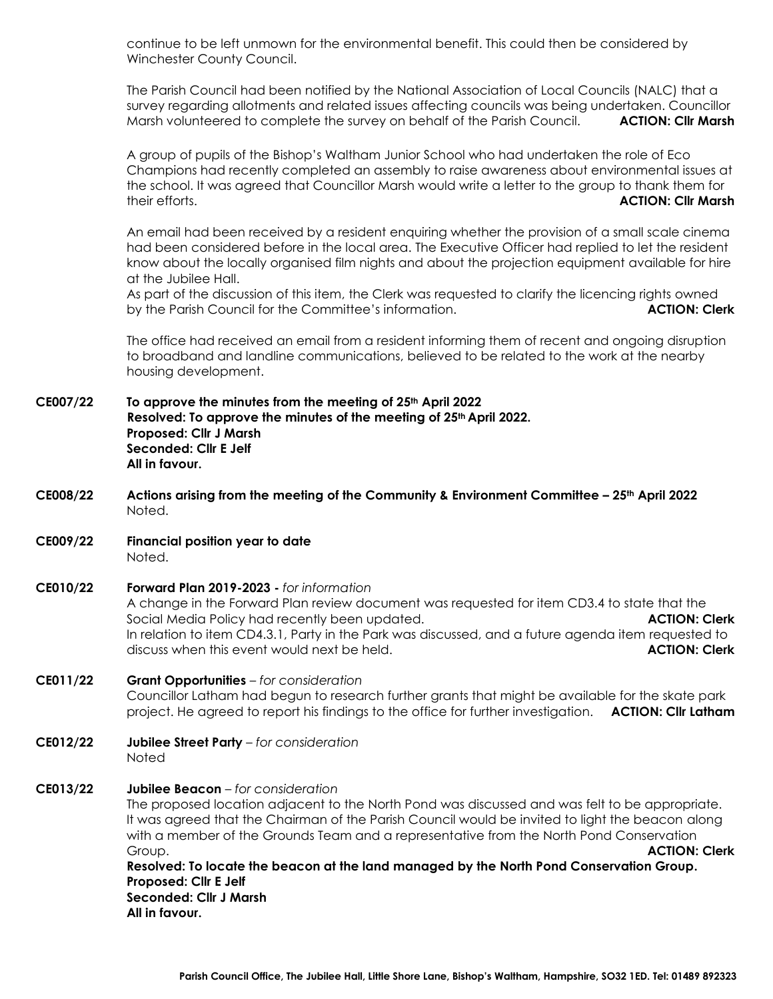continue to be left unmown for the environmental benefit. This could then be considered by Winchester County Council.

The Parish Council had been notified by the National Association of Local Councils (NALC) that a survey regarding allotments and related issues affecting councils was being undertaken. Councillor Marsh volunteered to complete the survey on behalf of the Parish Council. **ACTION: Cllr Marsh**

A group of pupils of the Bishop's Waltham Junior School who had undertaken the role of Eco Champions had recently completed an assembly to raise awareness about environmental issues at the school. It was agreed that Councillor Marsh would write a letter to the group to thank them for their efforts. **ACTION: Cllr Marsh**

An email had been received by a resident enquiring whether the provision of a small scale cinema had been considered before in the local area. The Executive Officer had replied to let the resident know about the locally organised film nights and about the projection equipment available for hire at the Jubilee Hall.

As part of the discussion of this item, the Clerk was requested to clarify the licencing rights owned by the Parish Council for the Committee's information. **ACTION: Clerk**

The office had received an email from a resident informing them of recent and ongoing disruption to broadband and landline communications, believed to be related to the work at the nearby housing development.

- **CE007/22 To approve the minutes from the meeting of 25th April 2022 Resolved: To approve the minutes of the meeting of 25th April 2022. Proposed: Cllr J Marsh Seconded: Cllr E Jelf All in favour.**
- **CE008/22 Actions arising from the meeting of the Community & Environment Committee – 25th April 2022** Noted.
- **CE009/22 Financial position year to date** Noted.
- **CE010/22 Forward Plan 2019-2023 -** *for information* A change in the Forward Plan review document was requested for item CD3.4 to state that the Social Media Policy had recently been updated. **ACTION: Clerk ACTION: Clerk** In relation to item CD4.3.1, Party in the Park was discussed, and a future agenda item requested to discuss when this event would next be held. **ACTION: Clerk**

## **CE011/22 Grant Opportunities** *– for consideration* Councillor Latham had begun to research further grants that might be available for the skate park project. He agreed to report his findings to the office for further investigation. **ACTION: Cllr Latham**

**CE012/22 Jubilee Street Party** – *for consideration* **Noted** 

# **CE013/22 Jubilee Beacon** *– for consideration*

The proposed location adjacent to the North Pond was discussed and was felt to be appropriate. It was agreed that the Chairman of the Parish Council would be invited to light the beacon along with a member of the Grounds Team and a representative from the North Pond Conservation Group. **ACTION: Clerk**

**Resolved: To locate the beacon at the land managed by the North Pond Conservation Group. Proposed: Cllr E Jelf Seconded: Cllr J Marsh All in favour.**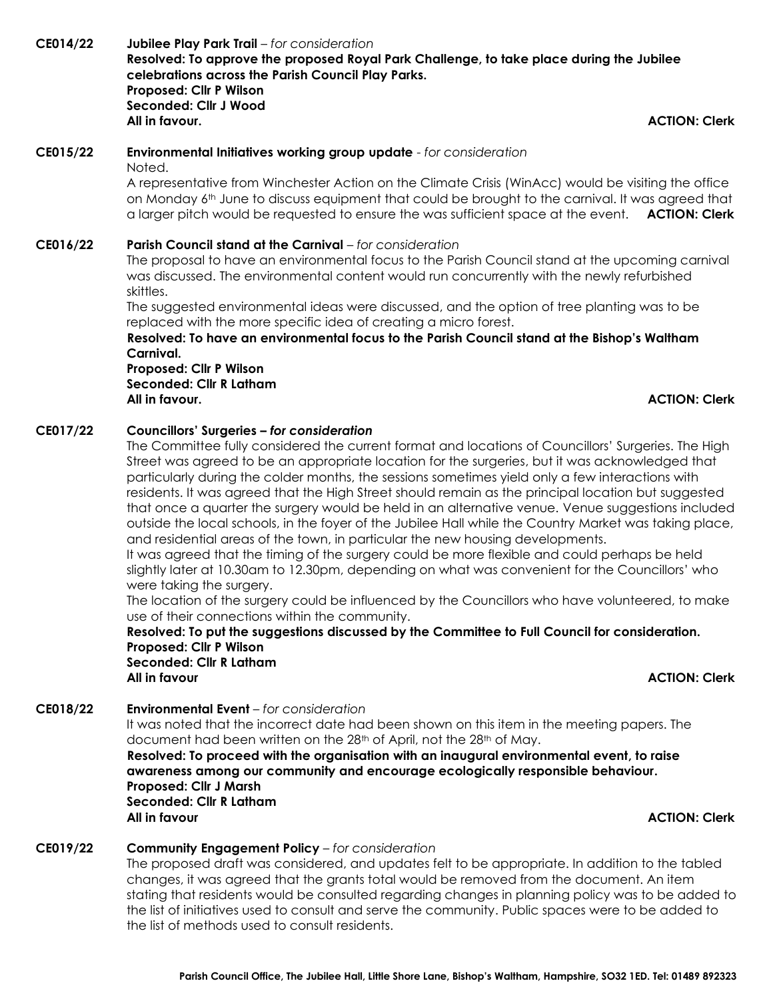**CE014/22 Jubilee Play Park Trail** – *for consideration* **Resolved: To approve the proposed Royal Park Challenge, to take place during the Jubilee celebrations across the Parish Council Play Parks. Proposed: Cllr P Wilson Seconded: Cllr J Wood All in favour. ACTION: Clerk**

#### **CE015/22 Environmental Initiatives working group update** - *for consideration* Noted.

A representative from Winchester Action on the Climate Crisis (WinAcc) would be visiting the office on Monday 6<sup>th</sup> June to discuss equipment that could be brought to the carnival. It was agreed that a larger pitch would be requested to ensure the was sufficient space at the event. **ACTION: Clerk**

### **CE016/22 Parish Council stand at the Carnival** *– for consideration*

The proposal to have an environmental focus to the Parish Council stand at the upcoming carnival was discussed. The environmental content would run concurrently with the newly refurbished skittles.

The suggested environmental ideas were discussed, and the option of tree planting was to be replaced with the more specific idea of creating a micro forest.

**Resolved: To have an environmental focus to the Parish Council stand at the Bishop's Waltham Carnival.**

**Proposed: Cllr P Wilson Seconded: Cllr R Latham All in favour. ACTION: Clerk**

### **CE017/22 Councillors' Surgeries** *– for consideration*

The Committee fully considered the current format and locations of Councillors' Surgeries. The High Street was agreed to be an appropriate location for the surgeries, but it was acknowledged that particularly during the colder months, the sessions sometimes yield only a few interactions with residents. It was agreed that the High Street should remain as the principal location but suggested that once a quarter the surgery would be held in an alternative venue. Venue suggestions included outside the local schools, in the foyer of the Jubilee Hall while the Country Market was taking place, and residential areas of the town, in particular the new housing developments.

It was agreed that the timing of the surgery could be more flexible and could perhaps be held slightly later at 10.30am to 12.30pm, depending on what was convenient for the Councillors' who were taking the surgery.

The location of the surgery could be influenced by the Councillors who have volunteered, to make use of their connections within the community.

**Resolved: To put the suggestions discussed by the Committee to Full Council for consideration. Proposed: Cllr P Wilson Seconded: Cllr R Latham All in favour ACTION: Clerk**

#### **CE018/22 Environmental Event** *– for consideration*

It was noted that the incorrect date had been shown on this item in the meeting papers. The document had been written on the 28th of April, not the 28th of May.

**Resolved: To proceed with the organisation with an inaugural environmental event, to raise awareness among our community and encourage ecologically responsible behaviour. Proposed: Cllr J Marsh Seconded: Cllr R Latham All in favour ACTION: Clerk**

### **CE019/22 Community Engagement Policy** *– for consideration*

The proposed draft was considered, and updates felt to be appropriate. In addition to the tabled changes, it was agreed that the grants total would be removed from the document. An item stating that residents would be consulted regarding changes in planning policy was to be added to the list of initiatives used to consult and serve the community. Public spaces were to be added to the list of methods used to consult residents.